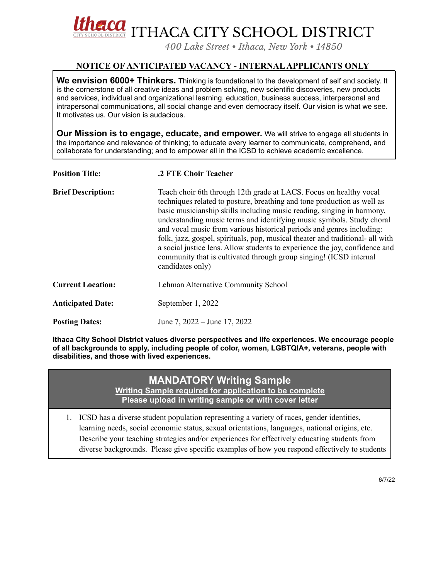

*400 Lake Street • Ithaca, New York • 14850*

## **NOTICE OF ANTICIPATED VACANCY - INTERNALAPPLICANTS ONLY**

**We envision 6000+ Thinkers.** Thinking is foundational to the development of self and society. It is the cornerstone of all creative ideas and problem solving, new scientific discoveries, new products and services, individual and organizational learning, education, business success, interpersonal and intrapersonal communications, all social change and even democracy itself. Our vision is what we see. It motivates us. Our vision is audacious.

**Our Mission is to engage, educate, and empower.** We will strive to engage all students in the importance and relevance of thinking; to educate every learner to communicate, comprehend, and collaborate for understanding; and to empower all in the ICSD to achieve academic excellence.

| <b>Position Title:</b>    | .2 FTE Choir Teacher                                                                                                                                                                                                                                                                                                                                                                                                                                                                                                                                                                                                                 |
|---------------------------|--------------------------------------------------------------------------------------------------------------------------------------------------------------------------------------------------------------------------------------------------------------------------------------------------------------------------------------------------------------------------------------------------------------------------------------------------------------------------------------------------------------------------------------------------------------------------------------------------------------------------------------|
| <b>Brief Description:</b> | Teach choir 6th through 12th grade at LACS. Focus on healthy vocal<br>techniques related to posture, breathing and tone production as well as<br>basic musicianship skills including music reading, singing in harmony,<br>understanding music terms and identifying music symbols. Study choral<br>and vocal music from various historical periods and genres including:<br>folk, jazz, gospel, spirituals, pop, musical theater and traditional- all with<br>a social justice lens. Allow students to experience the joy, confidence and<br>community that is cultivated through group singing! (ICSD internal<br>candidates only) |
| <b>Current Location:</b>  | Lehman Alternative Community School                                                                                                                                                                                                                                                                                                                                                                                                                                                                                                                                                                                                  |
| <b>Anticipated Date:</b>  | September 1, 2022                                                                                                                                                                                                                                                                                                                                                                                                                                                                                                                                                                                                                    |
| <b>Posting Dates:</b>     | June 7, 2022 – June 17, 2022                                                                                                                                                                                                                                                                                                                                                                                                                                                                                                                                                                                                         |

**Ithaca City School District values diverse perspectives and life experiences. We encourage people of all backgrounds to apply, including people of color, women, LGBTQIA+, veterans, people with disabilities, and those with lived experiences.**

# **MANDATORY Writing Sample**

**Writing Sample required for application to be complete Please upload in writing sample or with cover letter**

1. ICSD has a diverse student population representing a variety of races, gender identities, learning needs, social economic status, sexual orientations, languages, national origins, etc. Describe your teaching strategies and/or experiences for effectively educating students from diverse backgrounds. Please give specific examples of how you respond effectively to students